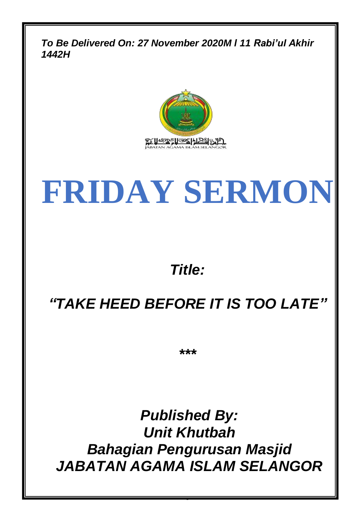*To Be Delivered On: 27 November 2020M l 11 Rabi'ul Akhir 1442H*



# **FRIDAY SERMON**

## *Title:*

# *"TAKE HEED BEFORE IT IS TOO LATE"*

*\*\*\**

*Published By: Unit Khutbah Bahagian Pengurusan Masjid JABATAN AGAMA ISLAM SELANGOR*

0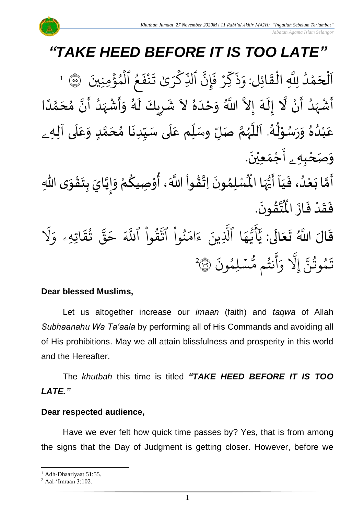سْلِمُونَ

نتُم مَّ

أ

و

َِّل إ

# *"TAKE HEED BEFORE IT IS TOO LATE"*

.<br>با ن<br>ا اَلْحَمْدُ لِلَّهِ الْقَائِل: وَذَكِّرْ فَإِنَّ ٱلذِّكْرَىٰ تَذْ و<br>و ់<br>ត  $\overline{\phantom{a}}$ ْ  $\overline{\phantom{a}}$  $\frac{1}{2}$ ֦֧֦֧֦֧֦֧֦֟֜֜֜֜֜֜֜֜<br>֧ׅׅ֝֜֜֜֜֜֜֜֜֜֜֝֜֜֝֜<del>֛</del>  $\ddot{\cdot}$ ِ<br>كَرِّيْ تَـ ر<br>م ذ الذِّ ِ<br>پ ِّن إ  $\ddot{\cdot}$ ء ڏ<br>ر ف  $\ddot{\phantom{0}}$ ند<br>م ك  $\ddot{\cdot}$ ذ  $\frac{1}{\epsilon}$ وَذَكِّرْ فَإِنَّ ٱلَّذِّكْرَىٰ تَنْفَعُ ٱلْمُؤْمِنِينَ ۞ ہ<br>ء و ہ<br>ا و<br>و 1 َ<br>الأ أَشْهَدُ أَنْ لَّا إِلَهَ إِلاَّ اللَّهُ وَحْدَهُ لاَ شَرِيكَ لَهُ وَأَشْهَدُ أَنَّ مُحَمَّدًا ْ ِ<br>پنج ٍ<br>و ً<br>زار<br>م ْ  $\sum_{i=1}^{n}$ ์<br>-<br>4  $\tilde{\mathbf{r}}$  $\frac{1}{2}$ ً<br>ا ر<br>م ๋<br>ጎ اتا े<br>न ر<br>ا ً<br>پر ْ  $\frac{1}{2}$  $\frac{1}{2}$ े<br>न  $\frac{1}{\epsilon}$ ِ  $\frac{1}{2}$  $\ddot{\phantom{0}}$ ٍ<br>ٌ ِ<br>ا  $\tilde{\cdot}$ المحمد ๋<br>ጎ عَبْدُهُ وَرَسُوْلُهُ. اَللَّهُمَّ صَلِّ وسَلِّم عَلَى سَبِّدِنَا مُحَمَّدٍ وَعَلَى آلِه<sub>ِ ـَ</sub>  $\ddot{\phantom{0}}$  $\frac{1}{1}$  $\overline{\mathbf{1}}$  $\frac{1}{\sqrt{2}}$  $\check{\mathbf{I}}$ تا<br>م ر<br>ر ۔<br>آ ً<br>آ ۔<br>د ر<br>م ់<br>^ و<br>م  $\overline{\phantom{a}}$  $\tilde{\phantom{a}}$  $\frac{1}{2}$ ٍ<br>و ំ<br>រ ً<br>م  $\overline{\mathbf{r}}$  $\frac{1}{2}$  $\tilde{\cdot}$ <u>لم</u> لة<br>م  $\overline{\phantom{a}}$ و*َصَحْبِهِ <sub>۽</sub>* أَجْمَعِيْنَ. ֦֧֦֧<u>֦</u>  $\ddot{\phantom{0}}$ ់<br>(  $\tilde{a}$ ֝֝֟<br>֧֧֧֝֝֬֝֬֝֓֝֬֝֓֝֬֝֓֝֬֝֬֝֓֝֬֝֬֝֓֟֓֝֬֝֓֝ - الْمَسْكَنْ فَيَاۤ أَيُّهَا الْمُسْلِمُونَ  $\frac{1}{1}$  $\ddot{\cdot}$ ۔<br>و ់<br>រ  $\tilde{\cdot}$ لة<br>م َ  $\ddot{\phantom{0}}$ ๋<br>ለ أَيُّهَا الْمُسْلِمُونَ اِتَّقُواْ اللَّهَ، أُوْصِيكُمْ وَإِيَّايَ بِتَقْوَى اللَّهِ ِ<br>اس  $\boldsymbol{\hat{\hat{z}}}$  $\tilde{\mathbf{z}}$  $\tilde{\cdot}$ ֦֧֦֦֧֦֧֝<u>֦</u>  $\ddot{\phantom{0}}$ **ٍ**<br>-ان<br>ا  $\sum_{i=1}^n$  $\tilde{\cdot}$ ُ י<br>י  $\frac{3}{2}$ ់<br>( **ٍ** الله .  $\ddot{\phantom{0}}$ ؾڤۏڹؘ **ہیں** ا<br>این  $\ddot{\textbf{r}}$ فَقَدْ فَازَ الْمُ  $\ddot{\cdot}$  $\ddot{\cdot}$ **ٔ**  $\frac{1}{2}$  $\ddot{\cdot}$ قَالَ اللَّهُ تَعَالَى: ً<br>ام  $\tilde{\bullet}$  $\ddot{\phantom{0}}$  $\ddot{\mathbf{r}}$ ِ<br>آک قُوا اللَّهَ  $\frac{1}{1}$ ور ِ<br>بہتر نُوا اڌّ  $\frac{1}{1}$ ُو  $\frac{1}{2}$ ام  $\tilde{\epsilon}$ ء ِّينَ یہ<br>۱ ا الذِ ِ<br>م ه و<br>د سَة<br>ب ِ<br>ج  $\sqrt{2}$ ِ<br>د بد َ َل ر<br>م اتِّهِّۦ و  $\ddot{\tilde{}}$ يَ<br>تق و<br>په ِ<br>په قة  $\overline{\phantom{a}}$ ح  $\ddot{\cdot}$ و  $\ddot{\phantom{0}}$ و<br>مم و<br>په َ<br>ج  $\frac{1}{2}$ ِ<br>آ ِ<br>پر تَمُوثُنَّ إِلَّا وَأَنتُم مُّسۡلِمُونَ ۞ و<br>په و

#### **Dear blessed Muslims,**

Let us altogether increase our *imaan* (faith) and *taqwa* of Allah *Subhaanahu Wa Ta'aala* by performing all of His Commands and avoiding all of His prohibitions. May we all attain blissfulness and prosperity in this world and the Hereafter.

2

The *khutbah* this time is titled *"TAKE HEED BEFORE IT IS TOO LATE."*

#### **Dear respected audience,**

Have we ever felt how quick time passes by? Yes, that is from among the signs that the Day of Judgment is getting closer. However, before we

<sup>&</sup>lt;sup>1</sup> Adh-Dhaariyaat 51:55.

<sup>2</sup> Aal-'Imraan 3:102.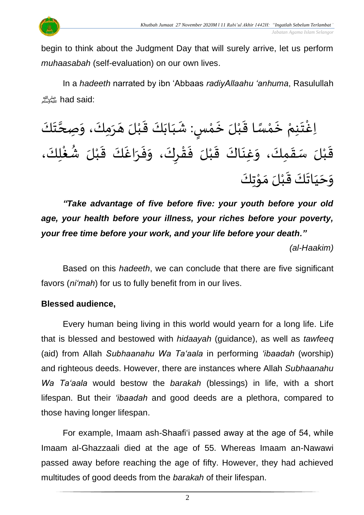

begin to think about the Judgment Day that will surely arrive, let us perform *muhaasabah* (self-evaluation) on our own lives.

In a *hadeeth* narrated by ibn 'Abbaas *radiyAllaahu 'anhuma*, Rasulullah صلى الله عليه وسلمhad said:

#### ْ اِغْتَنِمْ خَمْسًا قَبْلَ خَمْسٍ: شَبَابَكَ قَبْلَ هَرَمِكَ، وَصِحَّتَكَ  $\frac{1}{2}$  $\ddot{\phantom{0}}$  $\frac{1}{1}$  $\frac{1}{2}$ <u>ل</u> ْ  $\ddot{\phantom{0}}$ ْ  $\frac{1}{2}$ ً<br>ر<br>را ْ<br>م  $\ddot{\phantom{0}}$ ْ  $\ddot{\phantom{0}}$ ْ  $\frac{1}{2}$  $\overline{\phantom{a}}$  $\ddot{\phantom{0}}$ ة<br>ا  $\frac{1}{2}$ ់<br>**្តុ** قَبْلَ سَقَمِكَ، وَغِنَاكَ قَبْلَ فَقْرِكَ، وَفَرَاغَكَ قَبْلَ شُغْلِكَ،  $\frac{1}{2}$ ْ  $\frac{1}{2}$ ا<br>د  $\ddot{\phantom{0}}$  $\frac{1}{2}$  $\frac{1}{2}$ ْ  $\frac{1}{2}$ ំ<br>រ  $\ddot{\tilde{}}$  $\frac{1}{2}$  $\ddot{\phantom{0}}$  $\frac{1}{2}$  $\frac{1}{2}$ ر<br>د ِ<br>ا ´<br>≉ُ .<br>م وَحَيَاتَكَ قَبْلَ مَوْتِكَ י<br>י  $\frac{1}{2}$ ំ<br>រ  $\frac{1}{2}$  $\frac{1}{2}$ َ  $\ddot{\phantom{0}}$  $\frac{1}{2}$

*"Take advantage of five before five: your youth before your old age, your health before your illness, your riches before your poverty, your free time before your work, and your life before your death."*

*(al-Haakim)*

Based on this *hadeeth*, we can conclude that there are five significant favors (*ni'mah*) for us to fully benefit from in our lives.

### **Blessed audience,**

Every human being living in this world would yearn for a long life. Life that is blessed and bestowed with *hidaayah* (guidance), as well as *tawfeeq* (aid) from Allah *Subhaanahu Wa Ta'aala* in performing *'ibaadah* (worship) and righteous deeds. However, there are instances where Allah *Subhaanahu Wa Ta'aala* would bestow the *barakah* (blessings) in life, with a short lifespan. But their *'ibaadah* and good deeds are a plethora, compared to those having longer lifespan.

For example, Imaam ash-Shaafi'i passed away at the age of 54, while Imaam al-Ghazzaali died at the age of 55. Whereas Imaam an-Nawawi passed away before reaching the age of fifty. However, they had achieved multitudes of good deeds from the *barakah* of their lifespan.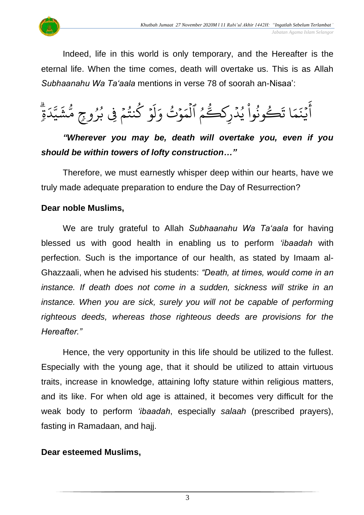

Indeed, life in this world is only temporary, and the Hereafter is the eternal life. When the time comes, death will overtake us. This is as Allah *Subhaanahu Wa Ta'aala* mentions in verse 78 of soorah an-Nisaa':

ء<br>م ا و ور<br>ح كُونُوا يُدْرِكَكَّ ہ<br>ا ُو  $\frac{1}{2}$ و<br>ڊ و  $\ddot{\phantom{0}}$ ا ت  $\frac{1}{2}$  $\tilde{\lambda}$  $\ddot{\cdot}$ د<br>بذ ة<br>ا ِ<br>ج  $\overline{a}$ أَيْنَمَا تَكُونُوا يُدْرِكَكُمُ الْمَوْتُ وَلَوْ كُنتُمْ فِي بُرُوجٍ مُّشَيَّدَةٍ ِ<br>ا د ِ<br>سَ يت<br>ج  $\tilde{\lambda}$ ش و<br>س وْ كُنتُمْ فِى بُرُوعٍ مَّ ُو و<br>د  $\frac{1}{2}$ و<br>په و  $\frac{1}{2}$ ر<br>مرا ل وۡتُ وَ و<br>مو  $\frac{1}{2}$ ر<br>م بر<br>م ہ<br>1 ل

## *"Wherever you may be, death will overtake you, even if you should be within towers of lofty construction…"*

Therefore, we must earnestly whisper deep within our hearts, have we truly made adequate preparation to endure the Day of Resurrection?

#### **Dear noble Muslims,**

We are truly grateful to Allah *Subhaanahu Wa Ta'aala* for having blessed us with good health in enabling us to perform *'ibaadah* with perfection. Such is the importance of our health, as stated by Imaam al-Ghazzaali, when he advised his students: *"Death, at times, would come in an instance. If death does not come in a sudden, sickness will strike in an instance. When you are sick, surely you will not be capable of performing righteous deeds, whereas those righteous deeds are provisions for the Hereafter."*

Hence, the very opportunity in this life should be utilized to the fullest. Especially with the young age, that it should be utilized to attain virtuous traits, increase in knowledge, attaining lofty stature within religious matters, and its like. For when old age is attained, it becomes very difficult for the weak body to perform *'ibaadah*, especially *salaah* (prescribed prayers), fasting in Ramadaan, and hajj.

#### **Dear esteemed Muslims,**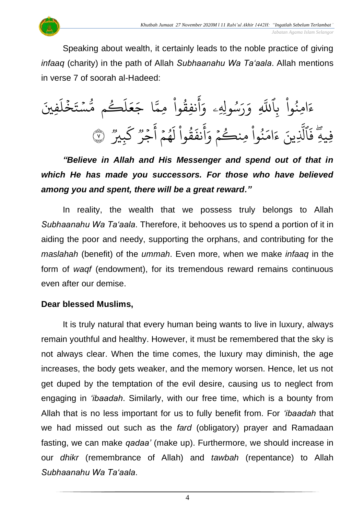

Speaking about wealth, it certainly leads to the noble practice of giving *infaaq* (charity) in the path of Allah *Subhaanahu Wa Ta'aala*. Allah mentions in verse 7 of soorah al-Hadeed:

فِّنيَ َ ل خ  $\ddot{\cdot}$  $\ddot{\cdot}$ ستة  $\ddot{\phantom{0}}$ و<br>مم ڪم مُ و ر<br>آ  $\mathcal{L}$  $\frac{1}{2}$ ع  $\overline{\phantom{a}}$ ا ج ى<br>م نفِقُوا مِمَّ  $\frac{1}{1}$ ور ِ<br>ج أ  $\frac{1}{\alpha}$ ِّسُولِهِۦ وَ و<br>م ِ<br>پ ر<br><u>ر</u>  $\frac{1}{\alpha}$ ِّ و ِ<br>آ امِنُوا بِاللَّهِ  $\frac{1}{2}$ ُو  $\tilde{\zeta}$ ء فِّيهِّ وو<br>۔ وو<br>بِيكر ِ<br>س ك وو<br>. و وو<br>جر  $\frac{1}{2}$ ِ<br>ج أ  $\frac{1}{2}$ و ۔<br>پهم و<br>م  $\tilde{\mathfrak{f}}$ ل  $\frac{1}{2}$ وا ق ور  $\ddot{\cdot}$ نف ۔<br>ج أ  $\frac{1}{\alpha}$ نُوا مِنڪُمْ وَ  $\frac{1}{2}$ و  $\ddot{\phantom{0}}$ و<br>و ِ<br>م ام  $\tilde{\zeta}$ ء ِّينَ ِ<br>آ ٱل  $\ddot{\cdot}$ فَالَّذِينَ ءَامَنُوا مِنكُمْ وَأَنفَقُوا لَهُمْ أَجْرٌ كَبِيرٌ ۞

*"Believe in Allah and His Messenger and spend out of that in which He has made you successors. For those who have believed among you and spent, there will be a great reward."*

In reality, the wealth that we possess truly belongs to Allah *Subhaanahu Wa Ta'aala*. Therefore, it behooves us to spend a portion of it in aiding the poor and needy, supporting the orphans, and contributing for the *maslahah* (benefit) of the *ummah*. Even more, when we make *infaaq* in the form of *waqf* (endowment), for its tremendous reward remains continuous even after our demise.

#### **Dear blessed Muslims,**

It is truly natural that every human being wants to live in luxury, always remain youthful and healthy. However, it must be remembered that the sky is not always clear. When the time comes, the luxury may diminish, the age increases, the body gets weaker, and the memory worsen. Hence, let us not get duped by the temptation of the evil desire, causing us to neglect from engaging in *'ibaadah*. Similarly, with our free time, which is a bounty from Allah that is no less important for us to fully benefit from. For *'ibaadah* that we had missed out such as the *fard* (obligatory) prayer and Ramadaan fasting, we can make *qadaa'* (make up). Furthermore, we should increase in our *dhikr* (remembrance of Allah) and *tawbah* (repentance) to Allah *Subhaanahu Wa Ta'aala*.

4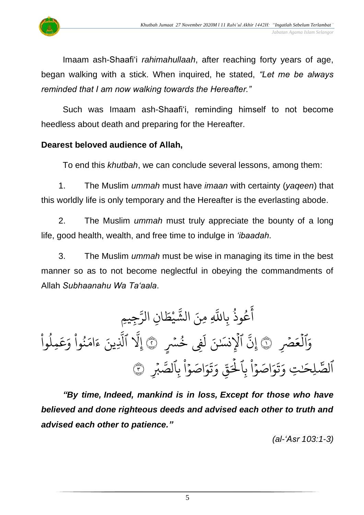

Imaam ash-Shaafi'i *rahimahullaah*, after reaching forty years of age, began walking with a stick. When inquired, he stated, *"Let me be always reminded that I am now walking towards the Hereafter."*

Such was Imaam ash-Shaafi'i, reminding himself to not become heedless about death and preparing for the Hereafter.

#### **Dearest beloved audience of Allah,**

To end this *khutbah*, we can conclude several lessons, among them:

1. The Muslim *ummah* must have *imaan* with certainty (*yaqeen*) that this worldly life is only temporary and the Hereafter is the everlasting abode.

2. The Muslim *ummah* must truly appreciate the bounty of a long life, good health, wealth, and free time to indulge in *'ibaadah*.

3. The Muslim *ummah* must be wise in managing its time in the best manner so as to not become neglectful in obeying the commandments of Allah *Subhaanahu Wa Ta'aala*.

ِّجيِّم َّ ِّن الر ا َ ط ي َّ الش ِّ ِّمنَ َّ ِّاّلل ب ُ وذ ُ ع َ أ َ ۡۡصِّ ع ۡ ٱل َ و ١ ٍ ُ ۡۡس ِِّف خ َ ل ٰنَ نسَ ِّ ۡ ٱۡل َّ ِّن ٢ إ وا ُ ِّمل َ ع َ و وا ُ ن َ ام َ ء ِّينَ َّ ٱل َّ َِّل إ ِّ ۡ ۡب َّ ِّٱلص ب ا ۡ و اصَ َ و َ ت َ ِّ و ذ ق َ ۡ ِّٱۡل ب ا ۡ و اصَ َ و َ ت َ ِّت و ٰ لِّحَ ٱلص <sup>٣</sup> َّٰ

*"By time, Indeed, mankind is in loss, Except for those who have believed and done righteous deeds and advised each other to truth and advised each other to patience."*

*(al-'Asr 103:1-3)*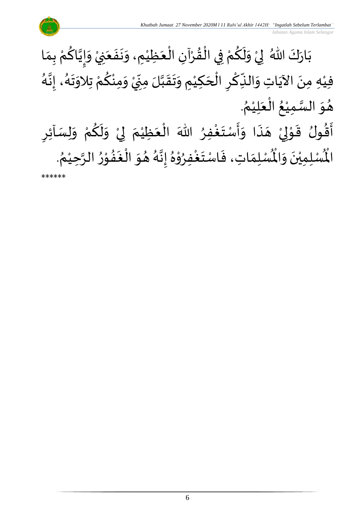

\*\*\*\*\*\*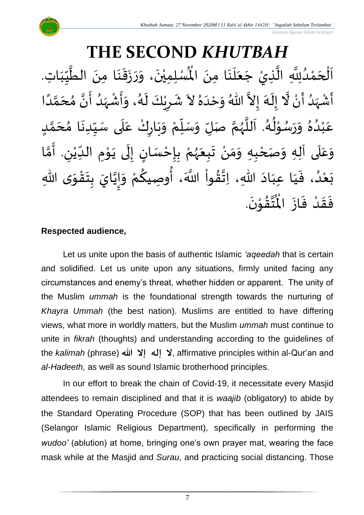

#### **THE SECOND** *KHUTBAH* لله من الطَّيِّبَاتِ<br>لْمُسْلِمِيْنَ، وَرَزَقَنَا مِنَ الطَّيِّبَاتِ  $\frac{1}{1}$  $\frac{1}{2}$  $\frac{1}{1}$ ا<br>ا َ ।<br>-<br>•  $\frac{1}{2}$  $\ddot{\phantom{0}}$  $\frac{1}{2}$  $\frac{1}{2}$ ।<br>◆<br>◆ ْ اَلْحَمْدُلِلَّهِ الَّذِيْ جَعَلَنَا مِنَ الْمُسْلِمِيْنَ، وَرَزَقَنَا مِنَ الطَّيِّبَاتِ. َ ्<br>द ر<br>آ  $\frac{1}{2}$  $\ddot{\phantom{0}}$ ا<br>تار<br>1 ان<br>ا و<br>و ់<br>?  $\overline{\phantom{a}}$ ֦֧֦֧֦֧֦֧֦֦֜֜֜֜֜֜  $\overline{\phantom{a}}$ َ<br>الإ أَشْهَدُ أَنْ لَّا إِلَهَ إِلاَّ اللّهُ وَحْدَهُ لاَ شَرِيْكَ لَهُ، وَأَشْهَدُ أَنَّ مُحَمَّدًا ំ<br>•  $\tilde{\mathbf{z}}$ ٍ<br>و َ<br>زاد ْ ِ  $\tilde{\mathbf{r}}$ الله ر<br>آم  $\tilde{\cdot}$  $\frac{1}{2}$  $\tilde{\phantom{a}}$ ُ<br>ُ  $\frac{1}{1}$  $\tilde{\cdot}$ ً<br>أ ت<br>م ्<br>- $\frac{1}{2}$ ن<br>• ا<br>ع ٍ<br>ا  $\frac{1}{2}$ ْ  $\frac{1}{2}$  $\frac{1}{2}$ و<br>گ  $\tilde{\mathbf{r}}$ ٝ<br>ۣ<br>ؙ ِ َ ة<br>أ دُهُ وَرَسُوْلُهُ. اَللَّهُمَّ صَلِّ وَسَلِّمْ وَبَارِكْ عَلَى سَيِّدِنَا مُحَمَّدٍ ا<br>ا<br>ا و<br>گ ء<br>ا∲ ់<br>" و<br>م  $\frac{1}{2}$  $\frac{1}{2}$  $\frac{1}{2}$ .<br>و ْ ب .<br>م <u>لم</u> ع ن<br>م  $\overline{\phantom{a}}$ )<br>ጎ  $\ddot{\phantom{0}}$  $\frac{1}{1}$  $\frac{1}{2}$  $\frac{1}{1}$ ِ<br>م ْ  $\ddot{\phantom{0}}$ ..<br>م ْ  $\frac{1}{\sqrt{2}}$  $\frac{1}{2}$  $\frac{1}{2}$ ن<br>م ر<br>ر<br>ر وَعَلَى آلِهِ وَصَحْبِهِ وَمَنْ تَبِعَهُمْ بِإِحْسَانٍ إِلَى يَوْمِ الدِّيْنِ. أَمَّا َ ً<br>م  $\frac{1}{2}$ ن<br>م ֪֪֪֦֧֧֧֦֧֧֦֧֦֧֪֪֦֪֦֦֦֪֦֪֦֦֧֓֝֓֝֝֝֟֓֝֓֕֓֕֓֟֓֟֓֟֓֟֓֟֓֟֓֟֓֟֓֟֓֟֓֟֓֟֓֟֓֟֓֟֓֟֓֝֟֓֝֬֟֓֟֓֟֓֝֟֟֟֟֟֟֟֟ ِ ٝ<br>ؙ  $\frac{1}{1}$ **→** י<br>י  $\ddot{\phantom{0}}$  $\tilde{\cdot}$ ل  $\frac{1}{2}$ )<br>=<br>= ֦֧֦֦֧֝<u>֛</u> <u>ر</u> ْ ر<br>ر<br>ر  $\frac{1}{2}$  $\frac{1}{2}$ ْ ์ $\frac{1}{2}$  $\frac{1}{2}$ ْ -<br>بَعْدُ، فَيَا عِبَادَ اللهِ، اِتَّقُواْ اللَّهَ، أُوصِيكُمْ وَإِيَّايَ بِتَقْوَى اللهِ  $\ddot{\ }$ ֦֧֦֧֦֧֝<u>֦</u>  $\ddot{\phantom{0}}$ <u>ر</u> ن<br>•  $\frac{1}{2}$  $\frac{1}{2}$ ْ ≡<br>م ُ<br>وه<br>و ۔<br>ا  $\frac{9}{4}$ ا<br>الم<br>:  $\ddot{\phantom{0}}$ َ َ  $\frac{1}{2}$ و<br>و ْ<br>ا  $\ddot{\ }$ ا<br>این نتة<br>ما ُ<br>مو فَقَدْ فَازَ الْمُتَّقُوْنَ.  $\ddot{\cdot}$  $\frac{1}{2}$ ْ  $\frac{1}{2}$  $\frac{1}{2}$  $\ddot{\phantom{0}}$ ֦֧<u>֫</u>  $\frac{9}{4}$

### **Respected audience,**

Let us unite upon the basis of authentic Islamic *'aqeedah* that is certain and solidified. Let us unite upon any situations, firmly united facing any circumstances and enemy's threat, whether hidden or apparent. The unity of the Muslim *ummah* is the foundational strength towards the nurturing of *Khayra Ummah* (the best nation). Muslims are entitled to have differing views, what more in worldly matters, but the Muslim *ummah* must continue to unite in *fikrah* (thoughts) and understanding according to the guidelines of the *kalimah* (phrase) **لا إله إلا الله عليه إلى إل**ه إليه إلى إليه إليه the *kalimah* (phrase) **and** *al-Hadeeth,* as well as sound Islamic brotherhood principles.

In our effort to break the chain of Covid-19, it necessitate every Masjid attendees to remain disciplined and that it is *waajib* (obligatory) to abide by the Standard Operating Procedure (SOP) that has been outlined by JAIS (Selangor Islamic Religious Department), specifically in performing the *wudoo'* (ablution) at home, bringing one's own prayer mat, wearing the face mask while at the Masjid and *Surau*, and practicing social distancing. Those

7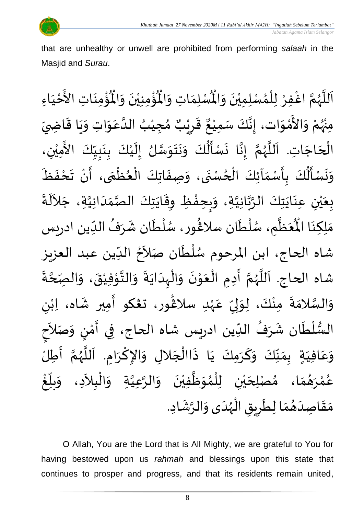

that are unhealthy or unwell are prohibited from performing *salaah* in the Masjid and *Surau*.

ؙۊؙ۠ڡؚنَاتِ  $\ddot{\phantom{0}}$ ់<br>: ُْ ُؤْمِنِيْنَ وَالْمُ  $\frac{1}{2}$  $\ddot{\phantom{0}}$ ْ ់<br>្ ہ<br>ا ِ<br>لْمُسْلِمَاتِ وَالْمُ  $\frac{1}{2}$  $\frac{1}{2}$ اَللَّهُمَّ اغْفِرْ لِلْمُسْلِمِيْنَ وَالْمُسْلِمَاتِ وَالْمُؤْمِنِيْنَ وَالْمُؤْمِنَاتِ الأَخْيَاءِ  $\frac{1}{2}$  $\ddot{\phantom{0}}$ ់<br>( ›<br>ል ْ<br>أ ِ<br>د ن<br>م ر<br>ر<br>ر ا<br>آ ً<br>أ َ ْ ِ<br>ع ْ مِنْهُمْ وَالأَمْوَات، إِنَّكَ سَمِيْعٌ قَرِيْبٌ مُجِيْبُ الدَّعَوَاتِ وَيَا قَاضِيَ ِ<br>پُر ْ  $\frac{1}{2}$ ់<br>ត -<br>ع  $\frac{1}{2}$  $\frac{1}{2}$  $\ddot{\ddot{\cdot}}$  $\ddot{\phantom{0}}$  $\frac{1}{2}$  $\ddot{\ }$ ِ<br>م اتا<br>ا ُ ْ )<br>ጎ ه<br>**د،** ي ر ق ِ  $\frac{1}{2}$ ٌ ، إِنَّكَ سَمِيْعٌ ់<br>រ بة<br>•  $\frac{1}{2}$  $\ddot{\phantom{0}}$ الْحَاجَاتِ. اَللَّهُمَّ إِنَّا نَسْأَلُكَ وَنَتَوَسَّلُ إِلَيْكَ بِنَبِيِّكَ الأَمِيْنِ، <u>ر</u><br>-ْ  $\mathbf{r}$ ।<br>∶ ا<br>سا  $\frac{1}{2}$  $\frac{1}{2}$  $\ddot{\phantom{0}}$  $\frac{1}{2}$  $\ddot{\hat{\bm{r}}}$  $\ddot{\cdot}$  $\ddot{\phantom{0}}$ ن<br>•<br>•  $\frac{1}{2}$ ن<br>م ر<br>ر<br>ر ا<br>آ َ  $\overline{\phantom{a}}$ ر<br>ا ْ َ<br>ج  $\frac{1}{1}$  $\frac{1}{2}$  $\frac{1}{2}$  $\mathbf{r}$ وَنَسْأَلُكَ بِأَسْمَآئِكَ الْحُسْنَى، وَصِفَاتِكَ الْعُظْمَى، أَنْ تَحْفَظَ ।<br>◆<br>- $\frac{1}{2}$ ْ  $\frac{1}{2}$ ์ ֦֧֦֧֦֧֦֧֦֧֦֧֦֧֧֦֧֦֧֦֧֝֟֓֓֜֓<br>**֧**  $\frac{1}{\epsilon}$ ֦֧֧֧֧֧֧֧֧֧֧֧֧֧֪֪֧֧֪֪֧֧֧֧֧֟֟֓֟֓֟֓֟֓֟֓֟֓֟֓֟֓֟֓֟֟֓֟֓֟֓֟֓֟֓֟֓֟֓֟֩֕֓֟֓֟֓֟֓֟֓֟֓֟֟֟֓֟֝֬֟֓֝֟֓֝֬֟֓֟֓֝֟֓֝֟֟֝֟֟֝֟֝֟֝֟<br>֧֧֧֝֩֩֩֩֩֩֓֟  $\ddot{\cdot}$  $\frac{1}{2}$  $\ddot{\phantom{0}}$ ر<br>د ֦֧֦֧֦֧֦֧֦֧֦֧֧֦֧֧֦֧֝֝֓֟֓֓֜֓֟֓<br>**֡** ์  $\frac{1}{2}$ <u>ر</u><br>: ُ<br>مُ≱ُ  $\frac{1}{2}$  $\ddot{\phantom{0}}$  $\frac{1}{2}$  $\ddot{\cdot}$ بِعَيْنِ عِنَايَتِكَ الرَّبَّانِيَّةِ، وَبِحِفْظِ وِقَايَتِكَ الصَّمَدَانِيَّةِ، جَلاَلَةَ ِ<br>اَلْجَمَ  $\sim$ ان<br>ا  $\frac{1}{1}$  $\frac{1}{2}$ اتا<br>د ا  $\ddot{\phantom{0}}$  $\ddot{\ddot{\cdot}}$ ֦֧֦֧֦֧<u>֦</u>  $\frac{1}{2}$  $\frac{1}{2}$ ة<br>م ن<br>ما<br>۱ ان<br>ا  $\frac{1}{2}$  $\ddot{\phantom{0}}$ ْ ه<br>با  $\frac{1}{2}$ .<br>مَظَّمٍ، سُلْطَان سلاڠُور، سُلْطَان شَرَفُ الدِّين اد  $\frac{1}{1}$ ُ ্যু  $\tilde{\epsilon}$ ֦֧֦֧֦ و<br>م )<br>ፌ م<br>م بر<br>ا و<br>ر م<br>کا  $\frac{1}{2}$ َ<br>مو مَلِكِنَا الْمُعَظَّمِ، سُلْطَان سلَاغُور، سُلْطَان شَرَفُ الدِّين ادريس ़<br>.<br>. شاه الحاج، ابن المرحوم سُلْطَان صَلاَحُ الدِّين عبد العزيز  $\frac{1}{\sqrt{2}}$ Į  $\lambda$ ें<br>र ْ ر<br>م ا<br>بہ شاه الحاج. اَللَّهُمَّ أَدِمِ الْعَوْنَ وَالْهِدَايَةَ وَالتَّوْفِيْقَ، وَالصِّحَّةَ ان<br>م  $\frac{1}{2}$  $\ddot{\phantom{0}}$ ْ י<br>י ن<br>اب  $\frac{1}{2}$  $\ddot{\cdot}$  $\ddot{\phantom{0}}$  $\frac{1}{1}$ ֧֦֧֘֝֝֜֟֜֜֜<mark>֦</mark>  $\frac{1}{2}$  $\ddot{\phantom{0}}$ י<br>י  $\frac{1}{2}$ ֧֦֦֦֦֦֦֘֝֝֝֝֝֝֬֝֟֓<br>֧֧֝֩֩֩֓֓֟֓֟֓֟֓֟֓֟֓֟֓֟֓֟֓֟֓֟֓֟֓֟֓֟֓֟ ।<br>∕  $\frac{1}{2}$ ن<br>م و<br>ر<br>ر ۔<br>ا  $\mathbf{r}$ وَالسَّلامَةَ مِنْكَ، لِوَلِيِّ عَهْدِ سلاڠُور، ت**ڠك**و أَمِير شَاه، اِبْنِ ٝ<br>ؙ  $\ddot{\phantom{0}}$  $\frac{1}{2}$ }<br>ዹ ٝ<br>ْ ِ<br>م  $\frac{\nu}{\nu}$ .<br>بر إ  $\frac{1}{2}$ ْ  $\ddot{\phantom{0}}$  $\frac{1}{2}$ ان<br>سا  $\frac{1}{2}$ السُّلْطَان شَرَفُ الدِّين ادريس شاه الحاج، فِي أَمْنٍ وَصَلاَحِ  $\frac{1}{\sqrt{2}}$ ُ ्<br>ू  $\mathbf{r}$ ْ<br>أ  $\frac{3}{2}$  $\frac{1}{2}$ ।<br>इ  $\sim$  $\frac{1}{2}$ )<br>إ י<br>נ ر<br>ج -<br>وَعَافِيَةٍ بِمَنَّكَ وَكَرَمِكَ يَا ذَاالْجَلالِ وَالإِكْرَامِ. اَللَّهُمَّ أَطِلُّ  $\frac{1}{2}$ ن<br>م ر<br>ر<br>ر ا<br>تار َ ।<br>।<br>। ا<br>د  $\frac{1}{2}$  $\overline{\phantom{a}}$ ْ  $\ddot{\cdot}$  $\ddot{\phantom{0}}$ .<br>س  $\frac{1}{2}$  $\frac{1}{2}$  $\frac{1}{2}$  $\frac{1}{2}$ َ .<br>م  $\frac{1}{2}$ <u>់</u> غ ֝<br>֡֟֟֟֟֟֓֟֟֟֟֟֟֓֟֓֟֓֟֓֟֓֟֓֟֓֟֓֟֟֟֟֟֟֟֟֡֟  $\frac{1}{2}$ بلاً  $\frac{1}{2}$ عُمْرَ*هُ*مَا، مُصْلِحَيْنِ لِلْمُوَظَّفِيْنَ وَالرَّعِيَّةِ وَالْبِلاَدِ، وَ<sub>ا</sub>  $\sim$ ֦֧֦֧֧֧֧֧֧֧֧֧֧֧֧֧֧֧֧֧֧֟֟֓֟֓֟֓֟֓֟֓֟֓֟֓֟֓֟֓֟֓֟֓֟֓֟֓֟֓֟֓֟֓֟֓֟֩֕֟֓֟֓֝֟֓֟֓֝֟֓֟֓֝֟֓֝֬֟֓֝֬֟֓֝֟֓֝֬֟֓֟֓֝֟֝֟֝֟<br>֧֧֧֧֝֩֩֩֩**֓**  $\frac{1}{2}$ ان<br>ا ان<br>ا  $\frac{1}{2}$  $\ddot{\phantom{0}}$ ْ ا<br>ا  $\frac{1}{2}$ ›<br>ሳ ់<br>ព្រ ْ ي  $\overline{\phantom{a}}$  $\frac{1}{2}$  $\frac{1}{2}$ ر<br>ر ់<br>< و<br>م مَقَاصِدَهُمَا لِطَرِيقِ الْهُدَى وَالرَّشَادِ. ्<br>द  $\frac{1}{2}$  $\frac{1}{1}$ و<br>ر<br>ر ֚֝<br>֧֦֝֟֓֟֓֟֓֟֓֟֓֟֓֟֓֟֓֟֓֟֓֟֓֟֓֟֩֕֩֟֓֟֓֟֓֟֓֟֩֕֟ رِ  $\mathbf{r}$  $\frac{1}{2}$  $\frac{1}{2}$  $\frac{1}{1}$  $\frac{1}{2}$  $\frac{1}{2}$ 

O Allah, You are the Lord that is All Mighty, we are grateful to You for having bestowed upon us *rahmah* and blessings upon this state that continues to prosper and progress, and that its residents remain united,